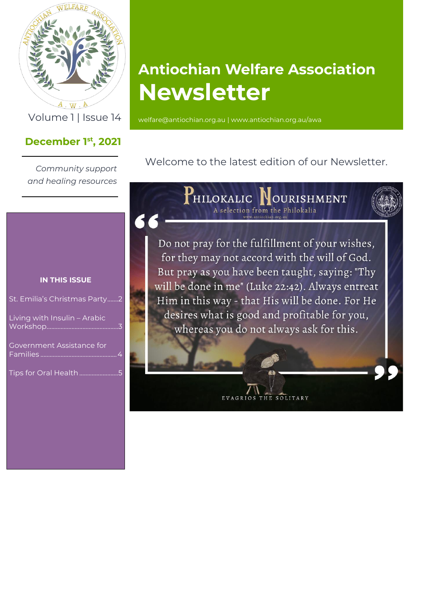

 $\mathcal{A}$  . W  $\mathcal{A}$ 

## **December 1 st , 2021**

*Community support and healing resources*

# **Antiochian Welfare Association Newsletter**

Volume 1 | Issue 14 [welfare@antiochian.org.au](mailto:welfare@antiochian.org.au) [| www.antiochian.org.au/awa](http://www.antiochian.org.au/awa)

Welcome to the latest edition of our Newsletter.

**IN THIS ISSUE**

| St. Emilia's Christmas Party2 |   |
|-------------------------------|---|
|                               | マ |
|                               |   |

Tips for Oral Health...

HILOKALIC NOURISHMENT A selection from the Philokalia

Do not pray for the fulfillment of your wishes, for they may not accord with the will of God. But pray as you have been taught, saying: "Thy will be done in me" (Luke 22:42). Always entreat Him in this way - that His will be done. For He desires what is good and profitable for you, whereas you do not always ask for this.

EVAGRIOS THE SOLITARY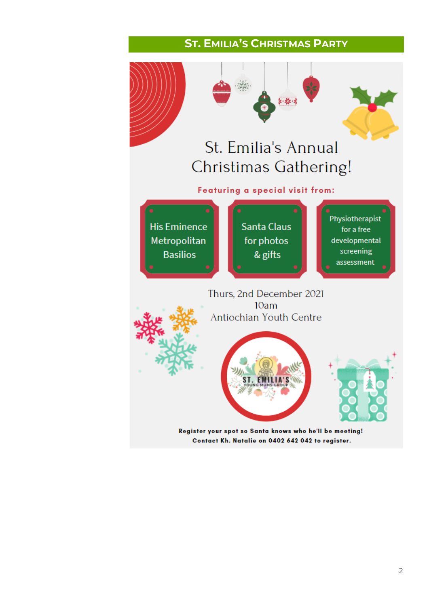## **ST. EMILIA'S CHRISTMAS PARTY**

<span id="page-1-0"></span>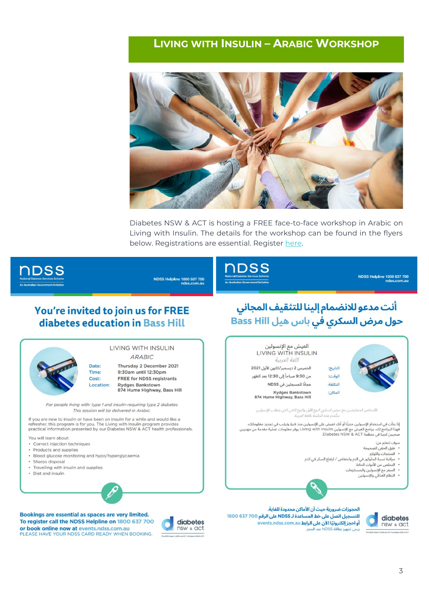### <span id="page-2-0"></span>**LIVING WITH INSULIN - ARABIC WORKSHOP**



Diabetes NSW & ACT is hosting a FREE face-to-face workshop in Arabic on Living with Insulin. The details for the workshop can be found in the flyers below. Registrations are essential. Register here.



**NDSS Helpline 1800 637 700** 



NDSS Helpline 1800 637 700

### You're invited to join us for FREE diabetes education in Bass Hill



#### LIVING WITH INSULIN **ARABIC**

Thursday 2 December 2021 9:30am until 12:30pm **FREE for NDSS registrants** Location: **Rydges Rankstown** 874 Hume Highway, Bass Hill

For people living with: type 1 and insulin-requiring type 2 diabetes This session will be delivered in Arabic.

If you are new to insulin or have been on insulin for a while and would like a in you are new to instant or nave been on inisting with Insulin program provides<br>practical information presented by our Diabetes NSW & ACT health professionals.

You will learn about:

- Correct injection techniques
- · Products and supplies
- · Blood glucose monitoring and hypo/hyperglycaemia
- · Sharps disposal
- Travelling with insulin and supplies • Diet and insulin
- Bookings are essential as spaces are very limited. To register call the NDSS Helpline on 1800 637 700 or book online now at events ndss.com.au PLEASE HAVE YOUR NDSS CARD READY WHEN BOOKING.



# أنت مدعو للانضمام إلينا للتثقيف المجاني حول مرض السكري في باس هيل Bass Hill



- مراقبة نسبة الجلوكوز في الدم وانخفاض / ارتفاع السكر في الدم
- التخلص من الأدوات الحادة
	- -

الحجوزات ضرورية حيث أن الأماكن محدودة للغاية. للتسجيل اتصل على خط المساعدة لـ NDSS على الرقم 700 637 1800 events.ndss.com.au أو احجز إلكترونيًا الآن على الرابط يرجى تجهيز بطاقة <mark>VDSS</mark>

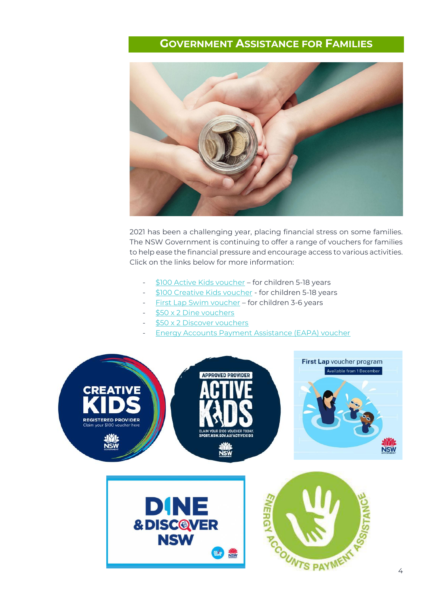## **GOVERNMENT ASSISTANCE FOR FAMILIES**

<span id="page-3-0"></span>

2021 has been a challenging year, placing financial stress on some families. The NSW Government is continuing to offer a range of vouchers for families to help ease the financial pressure and encourage access to various activities. Click on the links below for more information:

- [\\$100 Active Kids voucher](https://www.service.nsw.gov.au/transaction/apply-active-kids-voucher) for children 5-18 years
- [\\$100 Creative Kids voucher](https://www.service.nsw.gov.au/transaction/apply-creative-kids-voucher) for children 5-18 years
- [First Lap Swim voucher](https://www.service.nsw.gov.au/first-lap-swim-voucher) for children 3-6 years
- [\\$50 x 2 Dine](https://www.service.nsw.gov.au/transaction/apply-dine-discover-nsw-vouchers) vouchers
- [\\$50 x 2 Discover vouchers](https://www.service.nsw.gov.au/transaction/apply-dine-discover-nsw-vouchers)
- [Energy Accounts Payment Assistance \(EAPA\) voucher](https://www.service.nsw.gov.au/transaction/energy-accounts-payment-assistance-eapa-scheme)